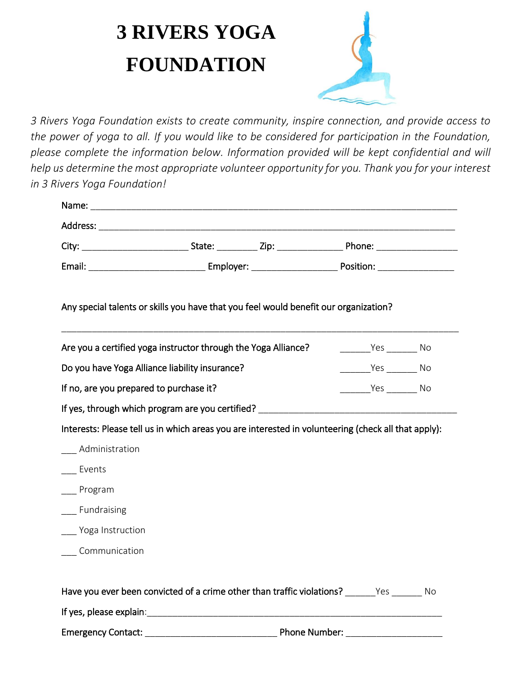## **3 RIVERS YOGA FOUNDATION**



*3 Rivers Yoga Foundation exists to create community, inspire connection, and provide access to the power of yoga to all. If you would like to be considered for participation in the Foundation, please complete the information below. Information provided will be kept confidential and will help us determine the most appropriate volunteer opportunity for you. Thank you for your interest in 3 Rivers Yoga Foundation!*

| Any special talents or skills you have that you feel would benefit our organization?                |  |  |                              |  |  |
|-----------------------------------------------------------------------------------------------------|--|--|------------------------------|--|--|
| Are you a certified yoga instructor through the Yoga Alliance?                                      |  |  | ___________Yes __________ No |  |  |
| Do you have Yoga Alliance liability insurance?                                                      |  |  | __________Yes __________ No  |  |  |
| If no, are you prepared to purchase it?                                                             |  |  | Yes No                       |  |  |
| If yes, through which program are you certified?                                                    |  |  |                              |  |  |
| Interests: Please tell us in which areas you are interested in volunteering (check all that apply): |  |  |                              |  |  |
| Administration                                                                                      |  |  |                              |  |  |
| Events                                                                                              |  |  |                              |  |  |
| __ Program                                                                                          |  |  |                              |  |  |
| Fundraising                                                                                         |  |  |                              |  |  |
| __ Yoga Instruction                                                                                 |  |  |                              |  |  |
| Communication                                                                                       |  |  |                              |  |  |
|                                                                                                     |  |  |                              |  |  |
| Have you ever been convicted of a crime other than traffic violations? _______Yes _______ No        |  |  |                              |  |  |
|                                                                                                     |  |  |                              |  |  |
|                                                                                                     |  |  |                              |  |  |